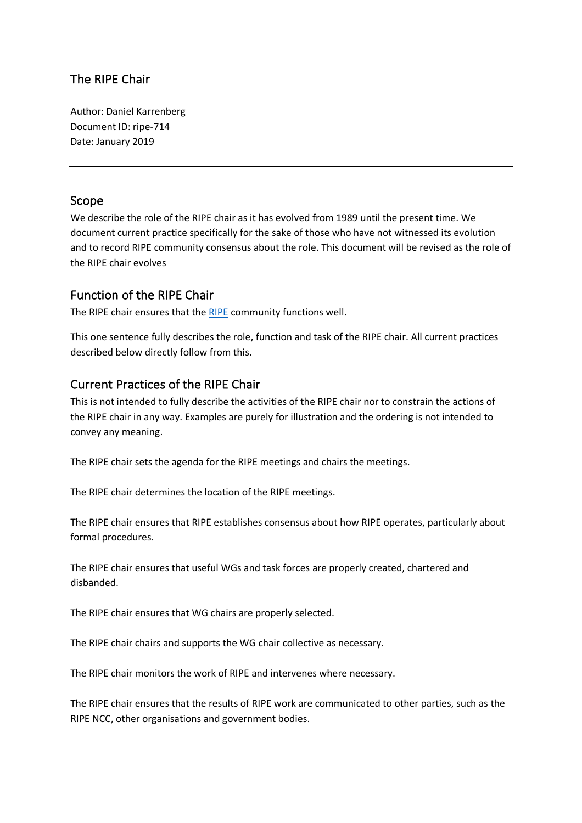# The RIPE Chair

Author: Daniel Karrenberg Document ID: ripe-714 Date: January 2019

#### Scope

We describe the role of the RIPE chair as it has evolved from 1989 until the present time. We document current practice specifically for the sake of those who have not witnessed its evolution and to record RIPE community consensus about the role. This document will be revised as the role of the RIPE chair evolves

#### Function of the RIPE Chair

The RIPE chair ensures that the [RIPE](https://www.ripe.net/participate/ripe) community functions well.

This one sentence fully describes the role, function and task of the RIPE chair. All current practices described below directly follow from this.

## Current Practices of the RIPE Chair

This is not intended to fully describe the activities of the RIPE chair nor to constrain the actions of the RIPE chair in any way. Examples are purely for illustration and the ordering is not intended to convey any meaning.

The RIPE chair sets the agenda for the RIPE meetings and chairs the meetings.

The RIPE chair determines the location of the RIPE meetings.

The RIPE chair ensures that RIPE establishes consensus about how RIPE operates, particularly about formal procedures.

The RIPE chair ensures that useful WGs and task forces are properly created, chartered and disbanded.

The RIPE chair ensures that WG chairs are properly selected.

The RIPE chair chairs and supports the WG chair collective as necessary.

The RIPE chair monitors the work of RIPE and intervenes where necessary.

The RIPE chair ensures that the results of RIPE work are communicated to other parties, such as the RIPE NCC, other organisations and government bodies.